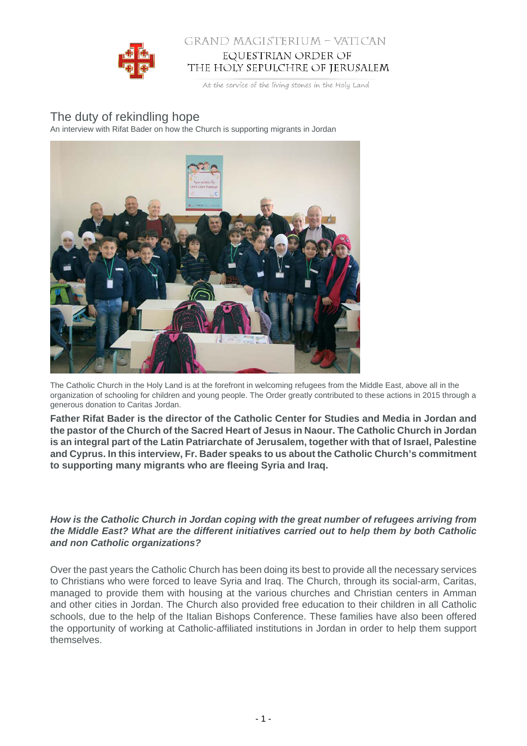

# GRAND MAGISTERIUM - VATICAN EQUESTRIAN ORDER OF THE HOLY SEPULCHRE OF JERUSALEM

At the service of the living stones in the Holy Land

# The duty of rekindling hope

An interview with Rifat Bader on how the Church is supporting migrants in Jordan



The Catholic Church in the Holy Land is at the forefront in welcoming refugees from the Middle East, above all in the organization of schooling for children and young people. The Order greatly contributed to these actions in 2015 through a generous donation to Caritas Jordan.

**Father Rifat Bader is the director of the Catholic Center for Studies and Media in Jordan and the pastor of the Church of the Sacred Heart of Jesus in Naour. The Catholic Church in Jordan is an integral part of the Latin Patriarchate of Jerusalem, together with that of Israel, Palestine and Cyprus. In this interview, Fr. Bader speaks to us about the Catholic Church's commitment to supporting many migrants who are fleeing Syria and Iraq.**

**How is the Catholic Church in Jordan coping with the great number of refugees arriving from the Middle East? What are the different initiatives carried out to help them by both Catholic and non Catholic organizations?**

Over the past years the Catholic Church has been doing its best to provide all the necessary services to Christians who were forced to leave Syria and Iraq. The Church, through its social-arm, Caritas, managed to provide them with housing at the various churches and Christian centers in Amman and other cities in Jordan. The Church also provided free education to their children in all Catholic schools, due to the help of the Italian Bishops Conference. These families have also been offered the opportunity of working at Catholic-affiliated institutions in Jordan in order to help them support themselves.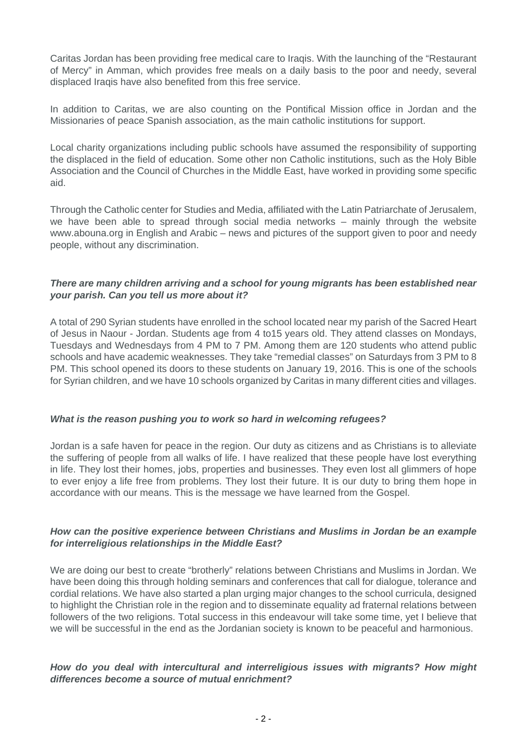Caritas Jordan has been providing free medical care to Iraqis. With the launching of the "Restaurant of Mercy" in Amman, which provides free meals on a daily basis to the poor and needy, several displaced Iraqis have also benefited from this free service.

In addition to Caritas, we are also counting on the Pontifical Mission office in Jordan and the Missionaries of peace Spanish association, as the main catholic institutions for support.

Local charity organizations including public schools have assumed the responsibility of supporting the displaced in the field of education. Some other non Catholic institutions, such as the Holy Bible Association and the Council of Churches in the Middle East, have worked in providing some specific aid.

Through the Catholic center for Studies and Media, affiliated with the Latin Patriarchate of Jerusalem, we have been able to spread through social media networks – mainly through the website www.abouna.org in English and Arabic – news and pictures of the support given to poor and needy people, without any discrimination.

#### **There are many children arriving and a school for young migrants has been established near your parish. Can you tell us more about it?**

A total of 290 Syrian students have enrolled in the school located near my parish of the Sacred Heart of Jesus in Naour - Jordan. Students age from 4 to15 years old. They attend classes on Mondays, Tuesdays and Wednesdays from 4 PM to 7 PM. Among them are 120 students who attend public schools and have academic weaknesses. They take "remedial classes" on Saturdays from 3 PM to 8 PM. This school opened its doors to these students on January 19, 2016. This is one of the schools for Syrian children, and we have 10 schools organized by Caritas in many different cities and villages.

#### **What is the reason pushing you to work so hard in welcoming refugees?**

Jordan is a safe haven for peace in the region. Our duty as citizens and as Christians is to alleviate the suffering of people from all walks of life. I have realized that these people have lost everything in life. They lost their homes, jobs, properties and businesses. They even lost all glimmers of hope to ever enjoy a life free from problems. They lost their future. It is our duty to bring them hope in accordance with our means. This is the message we have learned from the Gospel.

## **How can the positive experience between Christians and Muslims in Jordan be an example for interreligious relationships in the Middle East?**

We are doing our best to create "brotherly" relations between Christians and Muslims in Jordan. We have been doing this through holding seminars and conferences that call for dialogue, tolerance and cordial relations. We have also started a plan urging major changes to the school curricula, designed to highlight the Christian role in the region and to disseminate equality ad fraternal relations between followers of the two religions. Total success in this endeavour will take some time, yet I believe that we will be successful in the end as the Jordanian society is known to be peaceful and harmonious.

## **How do you deal with intercultural and interreligious issues with migrants? How might differences become a source of mutual enrichment?**